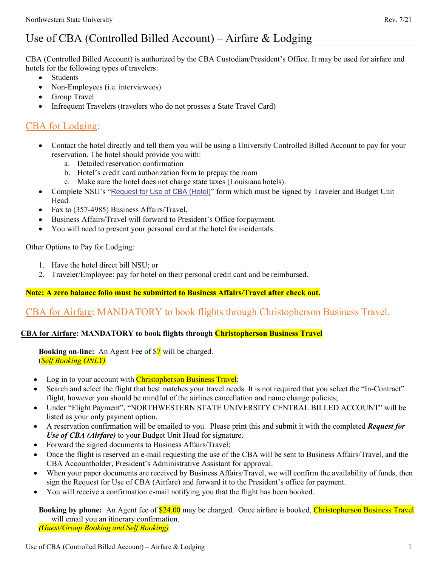# Use of CBA (Controlled Billed Account) – Airfare & Lodging

CBA (Controlled Billed Account) is authorized by the CBA Custodian/President's Office. It may be used for airfare and hotels for the following types of travelers:

- Students
- Non-Employees (*i.e.* interviewees)
- Group Travel
- Infrequent Travelers (travelers who do not prosses a State Travel Card)

## CBA for Lodging:

- Contact the hotel directly and tell them you will be using a University Controlled Billed Account to pay for your reservation. The hotel should provide you with:
	- a. Detailed reservation confirmation
	- b. Hotel's credit card authorization form to prepay the room
	- c. Make sure the hotel does not charge state taxes (Louisiana hotels).
- Complete NSU's "[Request for Use of CBA \(Hotel\)](http://www.nsula.edu/documentprovider/docs/370/4.-Request-for-Use-of-CBA-Hotel.pdf)" form which must be signed by Traveler and Budget Unit Head.
- Fax to (357-4985) Business Affairs/Travel.
- Business Affairs/Travel will forward to President's Office for payment.
- You will need to present your personal card at the hotel for incidentals.

Other Options to Pay for Lodging:

- 1. Have the hotel direct bill NSU; or
- 2. Traveler/Employee: pay for hotel on their personal credit card and be reimbursed.

### **Note: A zero balance folio must be submitted to Business Affairs/Travel after check out.**

## CBA for Airfare: MANDATORY to book flights through Christopherson Business Travel.

#### **CBA for Airfare: MANDATORY to book flights through Christopherson Business Travel**

**Booking on-line:** An Agent Fee of \$7 will be charged. (*Self Booking ONLY)*

- Log in to your account with Christopherson Business Travel;
- Search and select the flight that best matches your travel needs. It is not required that you select the "In-Contract" flight, however you should be mindful of the airlines cancellation and name change policies;
- Under "Flight Payment", "NORTHWESTERN STATE UNIVERSITY CENTRAL BILLED ACCOUNT" will be listed as your only payment option.
- A reservation confirmation will be emailed to you. Please print this and submit it with the completed *Request for Use of CBA (Airfare)* to your Budget Unit Head for signature.
- Forward the signed documents to Business Affairs/Travel;
- Once the flight is reserved an e-mail requesting the use of the CBA will be sent to Business Affairs/Travel, and the CBA Accountholder, President's Administrative Assistant for approval.
- When your paper documents are received by Business Affairs/Travel, we will confirm the availability of funds, then sign the Request for Use of CBA (Airfare) and forward it to the President's office for payment.
- You will receive a confirmation e-mail notifying you that the flight has been booked.

**Booking by phone:** An Agent fee of \$24.00 may be charged. Once airfare is booked, Christopherson Business Travel will email you an itinerary confirmation. *(Guest/Group Booking and Self Booking)*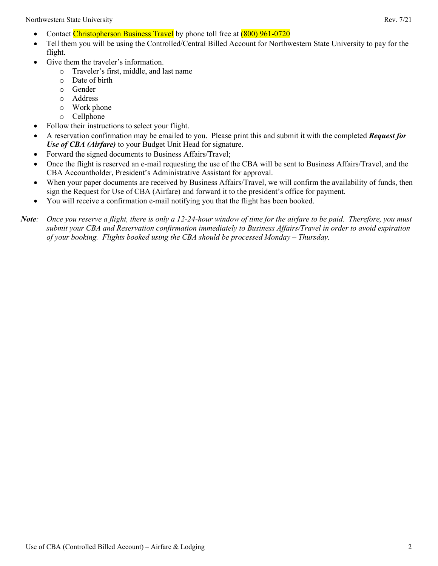Northwestern State University Rev. 7/21

- Contact Christopherson Business Travel by phone toll free at (800) 961-0720
- Tell them you will be using the Controlled/Central Billed Account for Northwestern State University to pay for the flight.
- Give them the traveler's information.
	- o Traveler's first, middle, and last name
	- o Date of birth
	- o Gender
	- o Address
	- o Work phone
	- o Cellphone
- Follow their instructions to select your flight.
- A reservation confirmation may be emailed to you. Please print this and submit it with the completed *Request for Use of CBA (Airfare)* to your Budget Unit Head for signature.
- Forward the signed documents to Business Affairs/Travel;
- Once the flight is reserved an e-mail requesting the use of the CBA will be sent to Business Affairs/Travel, and the CBA Accountholder, President's Administrative Assistant for approval.
- When your paper documents are received by Business Affairs/Travel, we will confirm the availability of funds, then sign the Request for Use of CBA (Airfare) and forward it to the president's office for payment.
- You will receive a confirmation e-mail notifying you that the flight has been booked.

*Note: Once you reserve a flight, there is only a 12-24-hour window of time for the airfare to be paid. Therefore, you must submit your CBA and Reservation confirmation immediately to Business Affairs/Travel in order to avoid expiration of your booking. Flights booked using the CBA should be processed Monday – Thursday.*